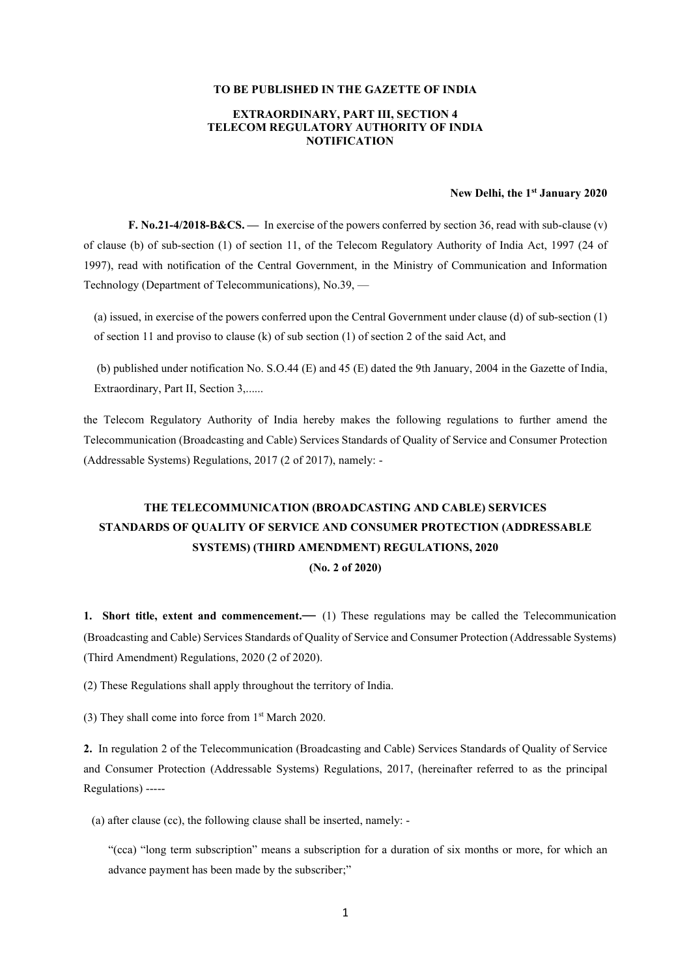#### TO BE PUBLISHED IN THE GAZETTE OF INDIA

## EXTRAORDINARY, PART III, SECTION 4 TELECOM REGULATORY AUTHORITY OF INDIA **NOTIFICATION**

## New Delhi, the 1<sup>st</sup> January 2020

**F. No.21-4/2018-B&CS.** — In exercise of the powers conferred by section 36, read with sub-clause (v) of clause (b) of sub-section (1) of section 11, of the Telecom Regulatory Authority of India Act, 1997 (24 of 1997), read with notification of the Central Government, in the Ministry of Communication and Information Technology (Department of Telecommunications), No.39, —

(a) issued, in exercise of the powers conferred upon the Central Government under clause (d) of sub-section (1) of section 11 and proviso to clause (k) of sub section (1) of section 2 of the said Act, and

(b) published under notification No. S.O.44 (E) and 45 (E) dated the 9th January, 2004 in the Gazette of India, Extraordinary, Part II, Section 3,......

the Telecom Regulatory Authority of India hereby makes the following regulations to further amend the Telecommunication (Broadcasting and Cable) Services Standards of Quality of Service and Consumer Protection (Addressable Systems) Regulations, 2017 (2 of 2017), namely: -

# THE TELECOMMUNICATION (BROADCASTING AND CABLE) SERVICES STANDARDS OF QUALITY OF SERVICE AND CONSUMER PROTECTION (ADDRESSABLE SYSTEMS) (THIRD AMENDMENT) REGULATIONS, 2020 (No. 2 of 2020)

1. Short title, extent and commencement.— (1) These regulations may be called the Telecommunication (Broadcasting and Cable) Services Standards of Quality of Service and Consumer Protection (Addressable Systems) (Third Amendment) Regulations, 2020 (2 of 2020).

(2) These Regulations shall apply throughout the territory of India.

(3) They shall come into force from 1st March 2020.

2. In regulation 2 of the Telecommunication (Broadcasting and Cable) Services Standards of Quality of Service and Consumer Protection (Addressable Systems) Regulations, 2017, (hereinafter referred to as the principal Regulations) -----

(a) after clause (cc), the following clause shall be inserted, namely: -

"(cca) "long term subscription" means a subscription for a duration of six months or more, for which an advance payment has been made by the subscriber;"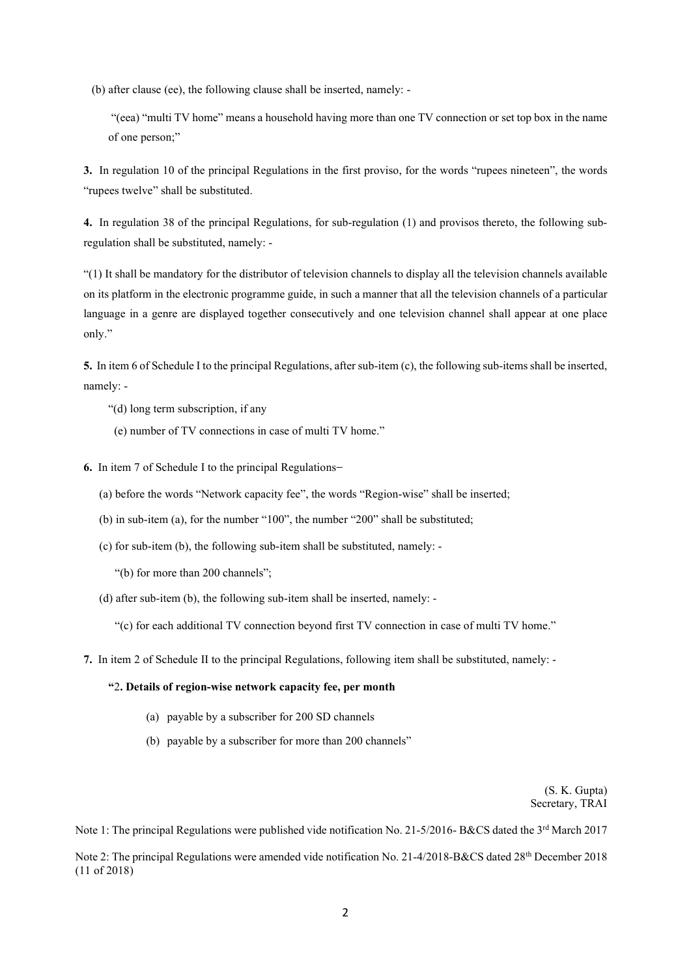(b) after clause (ee), the following clause shall be inserted, namely: -

"(eea) "multi TV home" means a household having more than one TV connection or set top box in the name of one person;"

3. In regulation 10 of the principal Regulations in the first proviso, for the words "rupees nineteen", the words "rupees twelve" shall be substituted.

4. In regulation 38 of the principal Regulations, for sub-regulation (1) and provisos thereto, the following subregulation shall be substituted, namely: -

"(1) It shall be mandatory for the distributor of television channels to display all the television channels available on its platform in the electronic programme guide, in such a manner that all the television channels of a particular language in a genre are displayed together consecutively and one television channel shall appear at one place only."

5. In item 6 of Schedule I to the principal Regulations, after sub-item (c), the following sub-items shall be inserted, namely: -

- "(d) long term subscription, if any
- (e) number of TV connections in case of multi TV home."
- 6. In item 7 of Schedule I to the principal Regulations-
	- (a) before the words "Network capacity fee", the words "Region-wise" shall be inserted;
	- (b) in sub-item (a), for the number "100", the number "200" shall be substituted;
	- (c) for sub-item (b), the following sub-item shall be substituted, namely:
		- "(b) for more than 200 channels";
	- (d) after sub-item (b), the following sub-item shall be inserted, namely: -

"(c) for each additional TV connection beyond first TV connection in case of multi TV home."

7. In item 2 of Schedule II to the principal Regulations, following item shall be substituted, namely: -

## "2. Details of region-wise network capacity fee, per month

- (a) payable by a subscriber for 200 SD channels
- (b) payable by a subscriber for more than 200 channels"

(S. K. Gupta) Secretary, TRAI

Note 1: The principal Regulations were published vide notification No. 21-5/2016- B&CS dated the 3rd March 2017

Note 2: The principal Regulations were amended vide notification No. 21-4/2018-B&CS dated 28th December 2018 (11 of 2018)